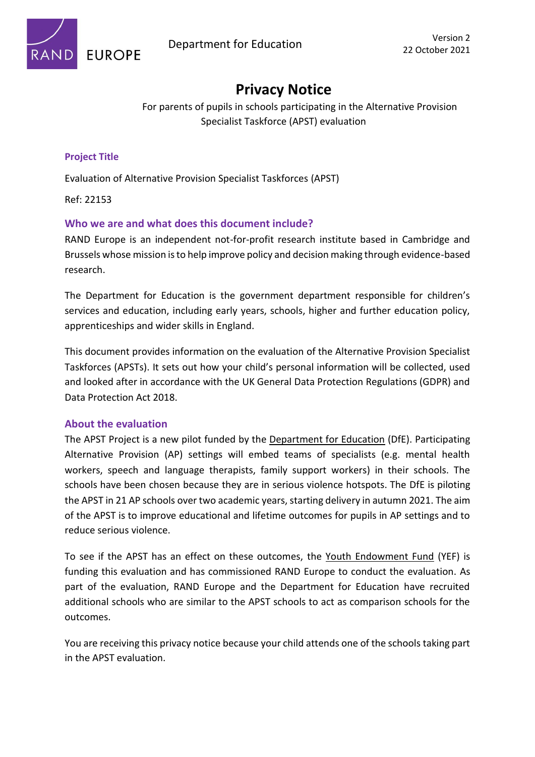

# **Privacy Notice**

For parents of pupils in schools participating in the Alternative Provision Specialist Taskforce (APST) evaluation

## **Project Title**

Evaluation of Alternative Provision Specialist Taskforces (APST)

Ref: 22153

### **Who we are and what does this document include?**

RAND Europe is an independent not-for-profit research institute based in Cambridge and Brussels whose mission is to help improve policy and decision making through evidence-based research.

The Department for Education is the government department responsible for children's services and education, including early years, schools, higher and further education policy, apprenticeships and wider skills in England.

This document provides information on the evaluation of the Alternative Provision Specialist Taskforces (APSTs). It sets out how your child's personal information will be collected, used and looked after in accordance with the UK General Data Protection Regulations (GDPR) and Data Protection Act 2018.

### **About the evaluation**

The APST Project is a new pilot funded by the Department for Education (DfE). Participating Alternative Provision (AP) settings will embed teams of specialists (e.g. mental health workers, speech and language therapists, family support workers) in their schools. The schools have been chosen because they are in serious violence hotspots. The DfE is piloting the APST in 21 AP schools over two academic years, starting delivery in autumn 2021. The aim of the APST is to improve educational and lifetime outcomes for pupils in AP settings and to reduce serious violence.

To see if the APST has an effect on these outcomes, the Youth Endowment Fund (YEF) is funding this evaluation and has commissioned RAND Europe to conduct the evaluation. As part of the evaluation, RAND Europe and the Department for Education have recruited additional schools who are similar to the APST schools to act as comparison schools for the outcomes.

You are receiving this privacy notice because your child attends one of the schools taking part in the APST evaluation.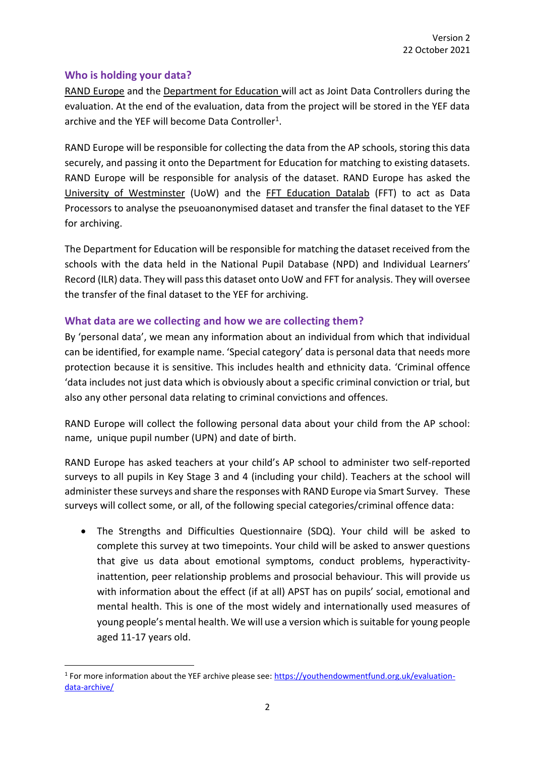# **Who is holding your data?**

RAND Europe and the Department for Education will act as Joint Data Controllers during the evaluation. At the end of the evaluation, data from the project will be stored in the YEF data archive and the YEF will become Data Controller<sup>1</sup>.

RAND Europe will be responsible for collecting the data from the AP schools, storing this data securely, and passing it onto the Department for Education for matching to existing datasets. RAND Europe will be responsible for analysis of the dataset. RAND Europe has asked the University of Westminster (UoW) and the FFT Education Datalab (FFT) to act as Data Processors to analyse the pseuoanonymised dataset and transfer the final dataset to the YEF for archiving.

The Department for Education will be responsible for matching the dataset received from the schools with the data held in the National Pupil Database (NPD) and Individual Learners' Record (ILR) data. They will pass this dataset onto UoW and FFT for analysis. They will oversee the transfer of the final dataset to the YEF for archiving.

# **What data are we collecting and how we are collecting them?**

By 'personal data', we mean any information about an individual from which that individual can be identified, for example name. 'Special category' data is personal data that needs more protection because it is sensitive. This includes health and ethnicity data. 'Criminal offence 'data includes not just data which is obviously about a specific criminal conviction or trial, but also any other personal data relating to criminal convictions and offences.

RAND Europe will collect the following personal data about your child from the AP school: name, unique pupil number (UPN) and date of birth.

RAND Europe has asked teachers at your child's AP school to administer two self-reported surveys to all pupils in Key Stage 3 and 4 (including your child). Teachers at the school will administer these surveys and share the responses with RAND Europe via Smart Survey. These surveys will collect some, or all, of the following special categories/criminal offence data:

• The Strengths and Difficulties Questionnaire (SDQ). Your child will be asked to complete this survey at two timepoints. Your child will be asked to answer questions that give us data about emotional symptoms, conduct problems, hyperactivityinattention, peer relationship problems and prosocial behaviour. This will provide us with information about the effect (if at all) APST has on pupils' social, emotional and mental health. This is one of the most widely and internationally used measures of young people's mental health. We will use a version which is suitable for young people aged 11-17 years old.

<sup>&</sup>lt;sup>1</sup> For more information about the YEF archive please see: **https://youthendowmentfund.org.uk/evaluation**[data-archive/](https://youthendowmentfund.org.uk/evaluation-data-archive/)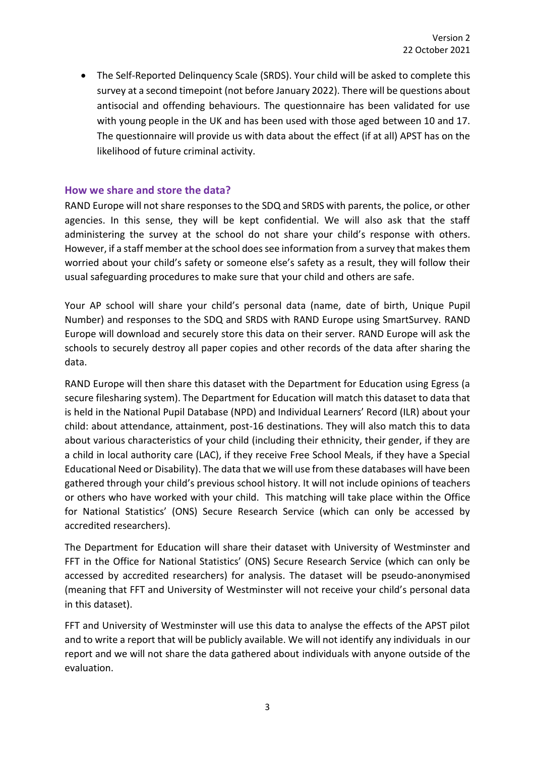• The Self-Reported Delinquency Scale (SRDS). Your child will be asked to complete this survey at a second timepoint (not before January 2022). There will be questions about antisocial and offending behaviours. The questionnaire has been validated for use with young people in the UK and has been used with those aged between 10 and 17. The questionnaire will provide us with data about the effect (if at all) APST has on the likelihood of future criminal activity.

#### **How we share and store the data?**

RAND Europe will not share responses to the SDQ and SRDS with parents, the police, or other agencies. In this sense, they will be kept confidential. We will also ask that the staff administering the survey at the school do not share your child's response with others. However, if a staff member at the school does see information from a survey that makes them worried about your child's safety or someone else's safety as a result, they will follow their usual safeguarding procedures to make sure that your child and others are safe.

Your AP school will share your child's personal data (name, date of birth, Unique Pupil Number) and responses to the SDQ and SRDS with RAND Europe using SmartSurvey. RAND Europe will download and securely store this data on their server. RAND Europe will ask the schools to securely destroy all paper copies and other records of the data after sharing the data.

RAND Europe will then share this dataset with the Department for Education using Egress (a secure filesharing system). The Department for Education will match this dataset to data that is held in the National Pupil Database (NPD) and Individual Learners' Record (ILR) about your child: about attendance, attainment, post-16 destinations. They will also match this to data about various characteristics of your child (including their ethnicity, their gender, if they are a child in local authority care (LAC), if they receive Free School Meals, if they have a Special Educational Need or Disability). The data that we will use from these databases will have been gathered through your child's previous school history. It will not include opinions of teachers or others who have worked with your child. This matching will take place within the Office for National Statistics' (ONS) Secure Research Service (which can only be accessed by accredited researchers).

The Department for Education will share their dataset with University of Westminster and FFT in the Office for National Statistics' (ONS) Secure Research Service (which can only be accessed by accredited researchers) for analysis. The dataset will be pseudo-anonymised (meaning that FFT and University of Westminster will not receive your child's personal data in this dataset).

FFT and University of Westminster will use this data to analyse the effects of the APST pilot and to write a report that will be publicly available. We will not identify any individuals in our report and we will not share the data gathered about individuals with anyone outside of the evaluation.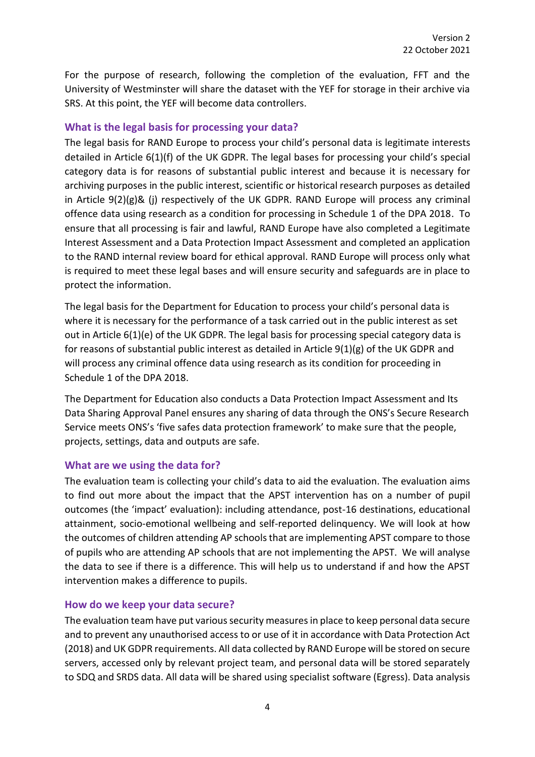For the purpose of research, following the completion of the evaluation, FFT and the University of Westminster will share the dataset with the YEF for storage in their archive via SRS. At this point, the YEF will become data controllers.

### **What is the legal basis for processing your data?**

The legal basis for RAND Europe to process your child's personal data is legitimate interests detailed in Article 6(1)(f) of the UK GDPR. The legal bases for processing your child's special category data is for reasons of substantial public interest and because it is necessary for archiving purposes in the public interest, scientific or historical research purposes as detailed in Article  $9(2)(g)$ & (j) respectively of the UK GDPR. RAND Europe will process any criminal offence data using research as a condition for processing in Schedule 1 of the DPA 2018. To ensure that all processing is fair and lawful, RAND Europe have also completed a Legitimate Interest Assessment and a Data Protection Impact Assessment and completed an application to the RAND internal review board for ethical approval. RAND Europe will process only what is required to meet these legal bases and will ensure security and safeguards are in place to protect the information.

The legal basis for the Department for Education to process your child's personal data is where it is necessary for the performance of a task carried out in the public interest as set out in Article 6(1)(e) of the UK GDPR. The legal basis for processing special category data is for reasons of substantial public interest as detailed in Article 9(1)(g) of the UK GDPR and will process any criminal offence data using research as its condition for proceeding in Schedule 1 of the DPA 2018.

The Department for Education also conducts a Data Protection Impact Assessment and Its Data Sharing Approval Panel ensures any sharing of data through the ONS's Secure Research Service meets ONS's 'five safes data protection framework' to make sure that the people, projects, settings, data and outputs are safe.

### **What are we using the data for?**

The evaluation team is collecting your child's data to aid the evaluation. The evaluation aims to find out more about the impact that the APST intervention has on a number of pupil outcomes (the 'impact' evaluation): including attendance, post-16 destinations, educational attainment, socio-emotional wellbeing and self-reported delinquency. We will look at how the outcomes of children attending AP schools that are implementing APST compare to those of pupils who are attending AP schools that are not implementing the APST. We will analyse the data to see if there is a difference. This will help us to understand if and how the APST intervention makes a difference to pupils.

#### **How do we keep your data secure?**

The evaluation team have put various security measures in place to keep personal data secure and to prevent any unauthorised access to or use of it in accordance with Data Protection Act (2018) and UK GDPR requirements. All data collected by RAND Europe will be stored on secure servers, accessed only by relevant project team, and personal data will be stored separately to SDQ and SRDS data. All data will be shared using specialist software (Egress). Data analysis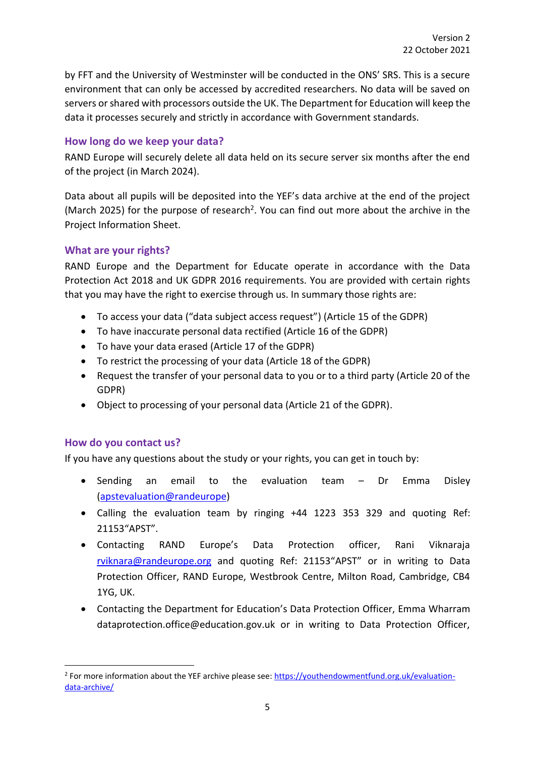by FFT and the University of Westminster will be conducted in the ONS' SRS. This is a secure environment that can only be accessed by accredited researchers. No data will be saved on servers or shared with processors outside the UK. The Department for Education will keep the data it processes securely and strictly in accordance with Government standards.

# **How long do we keep your data?**

RAND Europe will securely delete all data held on its secure server six months after the end of the project (in March 2024).

Data about all pupils will be deposited into the YEF's data archive at the end of the project (March 2025) for the purpose of research<sup>2</sup>. You can find out more about the archive in the Project Information Sheet.

# **What are your rights?**

RAND Europe and the Department for Educate operate in accordance with the Data Protection Act 2018 and UK GDPR 2016 requirements. You are provided with certain rights that you may have the right to exercise through us. In summary those rights are:

- To access your data ("data subject access request") (Article 15 of the GDPR)
- To have inaccurate personal data rectified (Article 16 of the GDPR)
- To have your data erased (Article 17 of the GDPR)
- To restrict the processing of your data (Article 18 of the GDPR)
- Request the transfer of your personal data to you or to a third party (Article 20 of the GDPR)
- Object to processing of your personal data (Article 21 of the GDPR).

### **How do you contact us?**

If you have any questions about the study or your rights, you can get in touch by:

- Sending an email to the evaluation team Dr Emma Disley (apstevaluation@randeurope)
- Calling the evaluation team by ringing +44 1223 353 329 and quoting Ref: 21153"APST".
- Contacting RAND Europe's Data Protection officer, Rani Viknaraja [rviknara@randeurope.org](mailto:rviknara@randeurope.org) and quoting Ref: 21153"APST" or in writing to Data Protection Officer, RAND Europe, Westbrook Centre, Milton Road, Cambridge, CB4 1YG, UK.
- Contacting the Department for Education's Data Protection Officer, Emma Wharram dataprotection.office@education.gov.uk or in writing to Data Protection Officer,

<sup>&</sup>lt;sup>2</sup> For more information about the YEF archive please see: **https://youthendowmentfund.org.uk/evaluation**[data-archive/](https://youthendowmentfund.org.uk/evaluation-data-archive/)